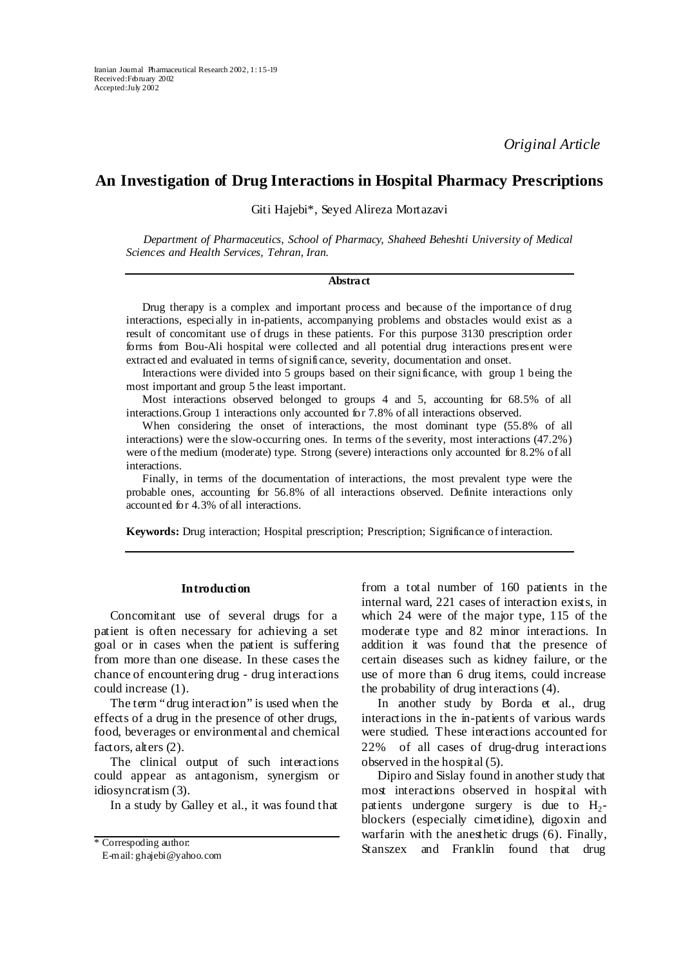*Original Article* 

# **An Investigation of Drug Interactions in Hospital Pharmacy Prescriptions**

Giti Hajebi\*, Seyed Alireza Mortazavi

*Department of Pharmaceutics, School of Pharmacy, Shaheed Beheshti University of Medical Sciences and Health Services, Tehran, Iran.* 

## **Abstract**

Drug therapy is a complex and important process and because of the importance of drug interactions, especially in in-patients, accompanying problems and obstacles would exist as a result of concomitant use of drugs in these patients. For this purpose 3130 prescription order forms from Bou-Ali hospital were collected and all potential drug interactions present were extracted and evaluated in terms of significance, severity, documentation and onset.

Interactions were divided into 5 groups based on their significance, with group 1 being the most important and group 5 the least important.

Most interactions observed belonged to groups 4 and 5, accounting for 68.5% of all interactions.Group 1 interactions only accounted for 7.8% of all interactions observed.

When considering the onset of interactions, the most dominant type (55.8% of all interactions) were the slow-occurring ones. In terms of the severity, most interactions (47.2%) were of the medium (moderate) type. Strong (severe) interactions only accounted for 8.2% of all interactions.

Finally, in terms of the documentation of interactions, the most prevalent type were the probable ones, accounting for 56.8% of all interactions observed. Definite interactions only accounted for 4.3% of all interactions.

**Keywords:** Drug interaction; Hospital prescription; Prescription; Significance of interaction.

## **Introduction**

Concomitant use of several drugs for a patient is often necessary for achieving a set goal or in cases when the patient is suffering from more than one disease. In these cases the chance of encountering drug - drug interactions could increase (1).

The term "drug interaction" is used when the effects of a drug in the presence of other drugs, food, beverages or environmental and chemical factors, alters (2).

The clinical output of such interactions could appear as antagonism, synergism or idiosyncratism (3).

In a study by Galley et al., it was found that

internal ward, 221 cases of interaction exists, in which 24 were of the major type, 115 of the moderate type and 82 minor interactions. In addition it was found that the presence of certain diseases such as kidney failure, or the use of more than 6 drug items, could increase the probability of drug interactions (4).

from a total number of 160 patients in the

In another study by Borda et al., drug interactions in the in-patients of various wards were studied. These interactions accounted for 22% of all cases of drug-drug interactions observed in the hospital (5).

Dipiro and Sislay found in another study that most interactions observed in hospital with patients undergone surgery is due to  $H_2$ blockers (especially cimetidine), digoxin and warfarin with the anesthetic drugs (6). Finally, \* Correspoding author:<br>Stanszex and Franklin found that drug

E-mail: ghajebi@yahoo.com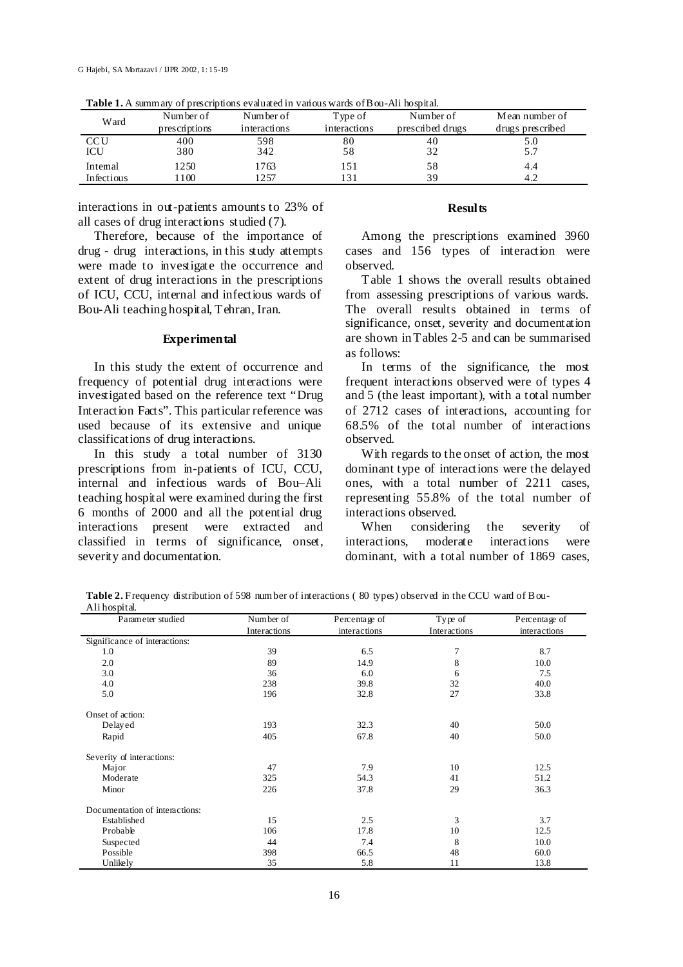| Ward       | Number of     | Number of    | Type of      | Number of        | Mean number of   |
|------------|---------------|--------------|--------------|------------------|------------------|
|            | prescriptions | interactions | interactions | prescribed drugs | drugs prescribed |
| <b>CCU</b> | 400           | 598          | 80           | 40               | 5.0              |
| ICU        | 380           | 342          | 58           | 32               |                  |
| Intemal    | 1250          | 1763         | 151          | 58               | 4.4              |
| Infectious | 100           | 1257         |              | 39               | 4.2              |

**Table 1.** A summary of prescriptions evaluated in various wards of Bou-Ali hospital.

interactions in out-patients amounts to 23% of all cases of drug interactions studied (7).

Therefore, because of the importance of drug - drug interactions, in this study attempts were made to investigate the occurrence and extent of drug interactions in the prescriptions of ICU, CCU, internal and infectious wards of Bou-Ali teaching hospital, Tehran, Iran.

## **Experimental**

In this study the extent of occurrence and frequency of potential drug interactions were investigated based on the reference text "Drug Interaction Facts". This particular reference was used because of its extensive and unique classifications of drug interactions.

In this study a total number of 3130 prescriptions from in-patients of ICU, CCU, internal and infectious wards of Bou–Ali teaching hospital were examined during the first 6 months of 2000 and all the potential drug interactions present were extracted and classified in terms of significance, onset, severity and documentation.

## **Results**

Among the prescriptions examined 3960 cases and 156 types of interaction were observed.

Table 1 shows the overall results obtained from assessing prescriptions of various wards. The overall results obtained in terms of significance, onset, severity and documentation are shown in Tables 2-5 and can be summarised as follows:

In terms of the significance, the most frequent interactions observed were of types 4 and 5 (the least important), with a total number of 2712 cases of interactions, accounting for 68.5% of the total number of interactions observed.

With regards to the onset of action, the most dominant type of interactions were the delayed ones, with a total number of 2211 cases, representing 55.8% of the total number of interactions observed.<br>When considering

When considering the severity of interactions, moderate interactions were dominant, with a total number of 1869 cases,

**Table 2.** Frequency distribution of 598 number of interactions ( 80 types) observed in the CCU ward of Bou-Ali hospital.

| Parameter studied              | Number of    | Type of<br>Percentage of |              | Percentage of |  |
|--------------------------------|--------------|--------------------------|--------------|---------------|--|
|                                | Interactions | interactions             | Interactions | interactions  |  |
| Significance of interactions:  |              |                          |              |               |  |
| 1.0                            | 39           | 6.5                      | 7            | 8.7           |  |
| 2.0                            | 89           | 14.9                     | 8            | 10.0          |  |
| 3.0                            | 36           | 6.0                      | 6            | 7.5           |  |
| 4.0                            | 238          | 39.8                     | 32           | 40.0          |  |
| 5.0                            | 196          | 32.8                     | 27           | 33.8          |  |
| Onset of action:               |              |                          |              |               |  |
| Delayed                        | 193          | 32.3                     | 40           | 50.0          |  |
| Rapid                          | 405          | 67.8                     | 40           | 50.0          |  |
| Severity of interactions:      |              |                          |              |               |  |
| Major                          | 47           | 7.9                      | 10           | 12.5          |  |
| Moderate                       | 325          | 54.3                     | 41           | 51.2          |  |
| Minor                          | 226          | 37.8                     | 29           | 36.3          |  |
| Documentation of interactions: |              |                          |              |               |  |
| Established                    | 15           | 2.5                      | 3            | 3.7           |  |
| Probable                       | 106          | 17.8                     | 10           | 12.5          |  |
| Suspected                      | 44           | 7.4                      | 8            | 10.0          |  |
| Possible                       | 398          | 66.5                     | 48           | 60.0          |  |
| Unlikely                       | 35           | 5.8                      | 11           | 13.8          |  |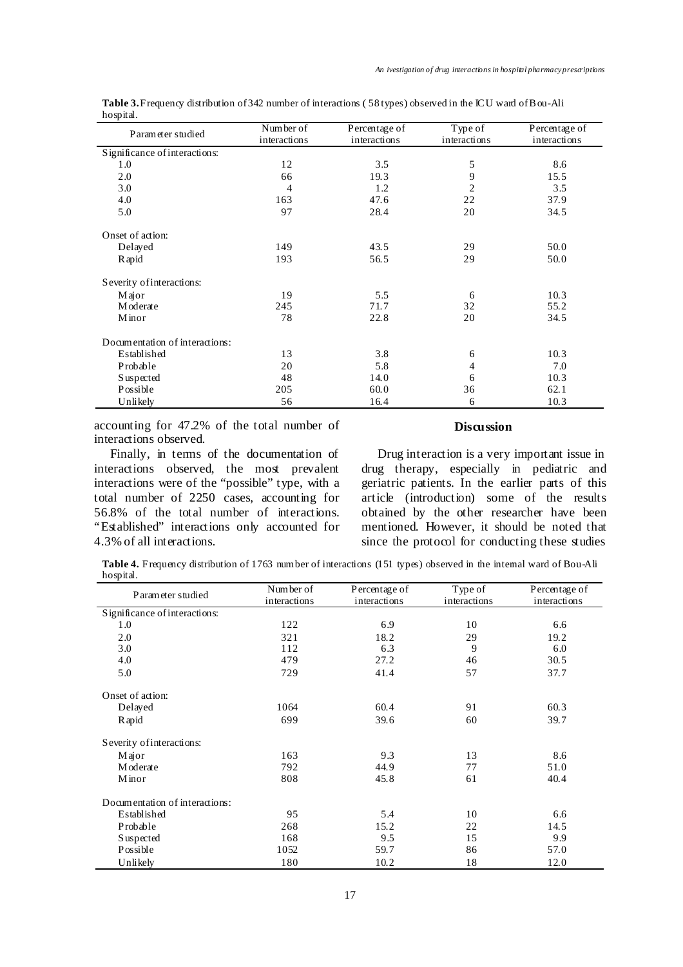| Parameter studied              | Number of<br>interactions | Percentage of<br>interactions | Type of<br>interactions | Percentage of<br>interactions |
|--------------------------------|---------------------------|-------------------------------|-------------------------|-------------------------------|
| Significance of interactions:  |                           |                               |                         |                               |
| 1.0                            | 12                        | 3.5                           | 5                       | 8.6                           |
| 2.0                            | 66                        | 19.3                          | 9                       | 15.5                          |
| 3.0                            | 4                         | 1.2                           | 2                       | 3.5                           |
| 4.0                            | 163                       | 47.6                          | 22                      | 37.9                          |
| 5.0                            | 97                        | 28.4                          | 20                      | 34.5                          |
| Onset of action:               |                           |                               |                         |                               |
| Delayed                        | 149                       | 43.5                          | 29                      | 50.0                          |
| Rapid                          | 193                       | 56.5                          | 29                      | 50.0                          |
| Severity of interactions:      |                           |                               |                         |                               |
| Major                          | 19                        | 5.5                           | 6                       | 10.3                          |
| Moderate                       | 245                       | 71.7                          | 32                      | 55.2                          |
| Minor                          | 78                        | 22.8                          | 20                      | 34.5                          |
| Documentation of interactions: |                           |                               |                         |                               |
| Established                    | 13                        | 3.8                           | 6                       | 10.3                          |
| Probable                       | 20                        | 5.8                           | 4                       | 7.0                           |
| Suspected                      | 48                        | 14.0                          | 6                       | 10.3                          |
| Possible                       | 205                       | 60.0                          | 36                      | 62.1                          |
| Unlikely                       | 56                        | 16.4                          | 6                       | 10.3                          |

**Table 3.** Frequency distribution of 342 number of interactions ( 58 types) observed in the ICU ward of Bou-Ali hospital.

accounting for 47.2% of the total number of interactions observed.

Finally, in terms of the documentation of interactions observed, the most prevalent interactions were of the "possible" type, with a total number of 2250 cases, accounting for 56.8% of the total number of interactions. "Established" interactions only accounted for 4.3% of all interactions.

## **Discussion**

Drug interaction is a very important issue in drug therapy, especially in pediatric and geriatric patients. In the earlier parts of this article (introduction) some of the results obtained by the other researcher have been mentioned. However, it should be noted that since the protocol for conducting these studies

**Table 4.** Frequency distribution of 1763 number of interactions (151 types) observed in the internal ward of Bou-Ali hospital.

| Parameter studied              | Number of<br>Percentage of |              | Type of      | Percentage of |  |
|--------------------------------|----------------------------|--------------|--------------|---------------|--|
|                                | interactions               | interactions | interactions | interactions  |  |
| Significance of interactions:  |                            |              |              |               |  |
| 1.0                            | 122                        | 6.9          | 10           | 6.6           |  |
| 2.0                            | 321                        | 18.2         | 29           | 19.2          |  |
| 3.0                            | 112                        | 6.3          | 9            | 6.0           |  |
| 4.0                            | 479                        | 27.2         | 46           | 30.5          |  |
| 5.0                            | 729                        | 41.4         | 57           | 37.7          |  |
| Onset of action:               |                            |              |              |               |  |
| Delayed                        | 1064                       | 60.4         | 91           | 60.3          |  |
| R apid                         | 699                        | 39.6         | 60           | 39.7          |  |
| Severity of interactions:      |                            |              |              |               |  |
| Major                          | 163                        | 9.3          | 13           | 8.6           |  |
| Moderate                       | 792                        | 44.9         | 77           | 51.0          |  |
| Minor                          | 808                        | 45.8         | 61           | 40.4          |  |
| Documentation of interactions: |                            |              |              |               |  |
| Established                    | 95                         | 5.4          | 10           | 6.6           |  |
| Probable                       | 268                        | 15.2         | 22           | 14.5          |  |
| <b>S</b> uspected              | 168                        | 9.5          | 15           | 9.9           |  |
| Possible                       | 1052                       | 59.7         | 86           | 57.0          |  |
| Unlikely                       | 180                        | 10.2         | 18           | 12.0          |  |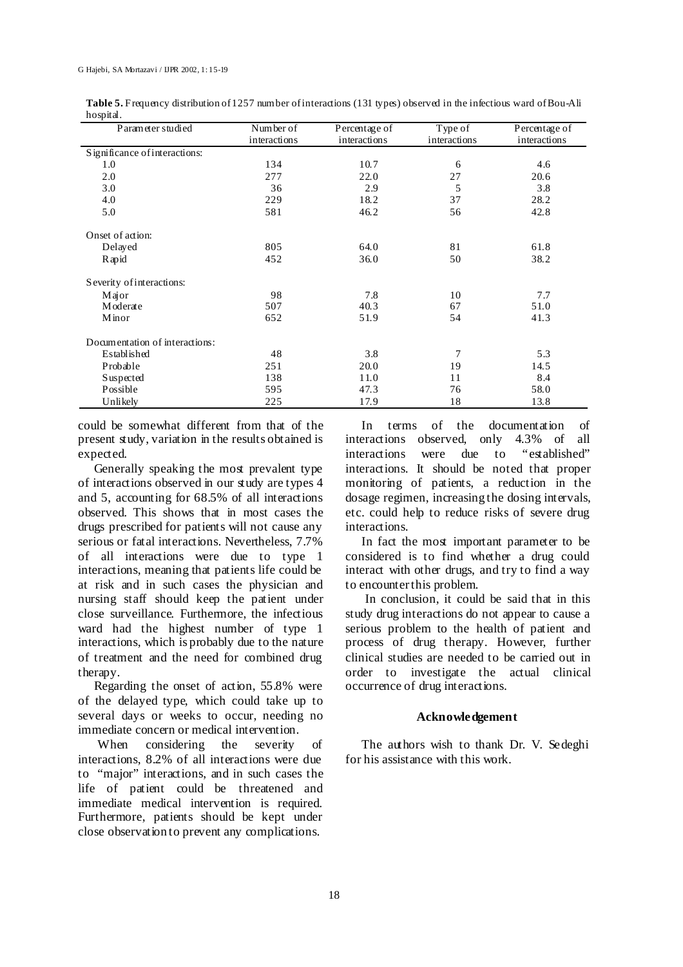|           | Table 5. Frequency distribution of 1257 number of interactions (131 types) observed in the infectious ward of Bou-Ali |  |  |  |
|-----------|-----------------------------------------------------------------------------------------------------------------------|--|--|--|
| hospital. |                                                                                                                       |  |  |  |

| Parameter studied              | Number of    | Percentage of | Type of      | Percentage of |
|--------------------------------|--------------|---------------|--------------|---------------|
|                                | interactions | interactions  | interactions | interactions  |
| Significance of interactions:  |              |               |              |               |
| 1.0                            | 134          | 10.7          | 6            | 4.6           |
| 2.0                            | 277          | 22.0          | 27           | 20.6          |
| 3.0                            | 36           | 2.9           | 5            | 3.8           |
| 4.0                            | 229          | 18.2          | 37           | 28.2          |
| 5.0                            | 581          | 46.2          | 56           | 42.8          |
| Onset of action:               |              |               |              |               |
| Delayed                        | 805          | 64.0          | 81           | 61.8          |
| R apid                         | 452          | 36.0          | 50           | 38.2          |
| Severity of interactions:      |              |               |              |               |
| Major                          | 98           | 7.8           | 10           | 7.7           |
| Moderate                       | 507          | 40.3          | 67           | 51.0          |
| Minor                          | 652          | 51.9          | 54           | 41.3          |
| Documentation of interactions: |              |               |              |               |
| Established                    | 48           | 3.8           | 7            | 5.3           |
| Probable                       | 251          | 20.0          | 19           | 14.5          |
| <b>Suspected</b>               | 138          | 11.0          | 11           | 8.4           |
| Possible                       | 595          | 47.3          | 76           | 58.0          |
| Unlikely                       | 225          | 17.9          | 18           | 13.8          |

could be somewhat different from that of the present study, variation in the results obtained is expected.

Generally speaking the most prevalent type of interactions observed in our study are types 4 and 5, accounting for 68.5% of all interactions observed. This shows that in most cases the drugs prescribed for patients will not cause any serious or fatal interactions. Nevertheless, 7.7% of all interactions were due to type 1 interactions, meaning that patients life could be at risk and in such cases the physician and nursing staff should keep the patient under close surveillance. Furthermore, the infectious ward had the highest number of type 1 interactions, which is probably due to the nature of treatment and the need for combined drug therapy.

Regarding the onset of action, 55.8% were of the delayed type, which could take up to several days or weeks to occur, needing no immediate concern or medical intervention.

 When considering the severity of interactions, 8.2% of all interactions were due to "major" interactions, and in such cases the life of patient could be threatened and immediate medical intervention is required. Furthermore, patients should be kept under close observation to prevent any complications.

In terms of the documentation of interactions observed, only 4.3% of all interactions were due to "established" interactions. It should be noted that proper monitoring of patients, a reduction in the dosage regimen, increasing the dosing intervals, etc. could help to reduce risks of severe drug interactions.

In fact the most important parameter to be considered is to find whether a drug could interact with other drugs, and try to find a way to encounter this problem.

 In conclusion, it could be said that in this study drug interactions do not appear to cause a serious problem to the health of patient and process of drug therapy. However, further clinical studies are needed to be carried out in order to investigate the actual clinical occurrence of drug interactions.

#### **Acknowledgement**

The authors wish to thank Dr. V. Sedeghi for his assistance with this work.